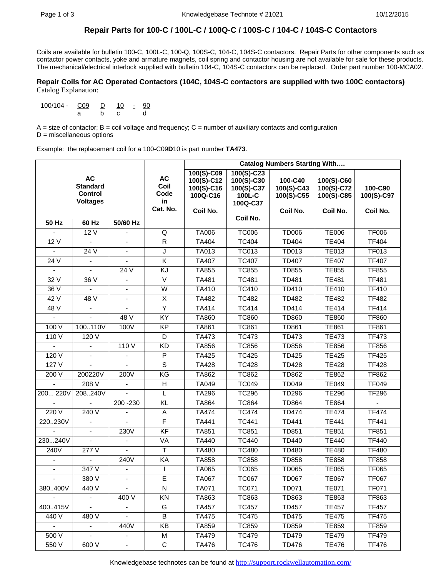## **Repair Parts for 100-C / 100L-C / 100Q-C / 100S-C / 104-C / 104S-C Contactors**

Coils are available for bulletin 100-C, 100L-C, 100-Q, 100S-C, 104-C, 104S-C contactors. Repair Parts for other components such as contactor power contacts, yoke and armature magnets, coil spring and contactor housing are not available for sale for these products. The mechanical/electrical interlock supplied with bulletin 104-C, 104S-C contactors can be replaced. Order part number 100-MCA02.

#### **Repair Coils for AC Operated Contactors (104C, 104S-C contactors are supplied with two 100C contactors)**  Catalog Explanation:

100/104 - C09 D 10 - 90 a b c d

 $A =$  size of contactor;  $B =$  coil voltage and frequency;  $C =$  number of auxiliary contacts and configuration D = miscellaneous options

Example: the replacement coil for a 100-C09**D**10 is part number **TA473**.

|                |                                                                   |                          |                                             | <b>Catalog Numbers Starting With</b>                           |                                                              |                                                 |                                                    |                                   |
|----------------|-------------------------------------------------------------------|--------------------------|---------------------------------------------|----------------------------------------------------------------|--------------------------------------------------------------|-------------------------------------------------|----------------------------------------------------|-----------------------------------|
|                | <b>AC</b><br><b>Standard</b><br><b>Control</b><br><b>Voltages</b> |                          | <b>AC</b><br>Coil<br>Code<br>in<br>Cat. No. | 100(S)-C09<br>100(S)-C12<br>100(S)-C16<br>100Q-C16<br>Coil No. | 100(S)-C23<br>100(S)-C30<br>100(S)-C37<br>100L-C<br>100Q-C37 | 100-C40<br>100(S)-C43<br>100(S)-C55<br>Coil No. | 100(S)-C60<br>100(S)-C72<br>100(S)-C85<br>Coil No. | 100-C90<br>100(S)-C97<br>Coil No. |
| $50$ Hz        | $60$ Hz                                                           | 50/60 Hz                 |                                             |                                                                | Coil No.                                                     |                                                 |                                                    |                                   |
|                | 12 V                                                              | $\overline{\phantom{a}}$ | Q                                           | <b>TA006</b>                                                   | <b>TC006</b>                                                 | <b>TD006</b>                                    | <b>TE006</b>                                       | <b>TF006</b>                      |
| 12 V           |                                                                   |                          | $\mathsf{R}$                                | TA404                                                          | <b>TC404</b>                                                 | <b>TD404</b>                                    | <b>TE404</b>                                       | <b>TF404</b>                      |
| $\overline{a}$ | 24V                                                               | $\blacksquare$           | J                                           | <b>TA013</b>                                                   | <b>TC013</b>                                                 | <b>TD013</b>                                    | <b>TE013</b>                                       | <b>TF013</b>                      |
| 24 V           |                                                                   |                          | $\overline{\mathsf{K}}$                     | <b>TA407</b>                                                   | <b>TC407</b>                                                 | <b>TD407</b>                                    | <b>TE407</b>                                       | <b>TF407</b>                      |
|                |                                                                   | 24 V                     | KJ                                          | TA855                                                          | <b>TC855</b>                                                 | <b>TD855</b>                                    | <b>TE855</b>                                       | <b>TF855</b>                      |
| 32V            | 36V                                                               | $\blacksquare$           | $\overline{\vee}$                           | <b>TA481</b>                                                   | <b>TC481</b>                                                 | <b>TD481</b>                                    | <b>TE481</b>                                       | <b>TF481</b>                      |
| 36 V           |                                                                   | $\overline{\phantom{a}}$ | W                                           | TA410                                                          | <b>TC410</b>                                                 | TD410                                           | <b>TE410</b>                                       | <b>TF410</b>                      |
| 42V            | 48 V                                                              | $\blacksquare$           | $\overline{\mathsf{x}}$                     | <b>TA482</b>                                                   | <b>TC482</b>                                                 | <b>TD482</b>                                    | <b>TE482</b>                                       | <b>TF482</b>                      |
| 48V            | $\mathbf{r}$                                                      | $\blacksquare$           | Ÿ                                           | <b>TA414</b>                                                   | <b>TC414</b>                                                 | <b>TD414</b>                                    | <b>TE414</b>                                       | <b>TF414</b>                      |
|                |                                                                   | 48 V                     | KY                                          | <b>TA860</b>                                                   | <b>TC860</b>                                                 | <b>TD860</b>                                    | <b>TE860</b>                                       | <b>TF860</b>                      |
| 100 V          | 100110V                                                           | 100V                     | <b>KP</b>                                   | TA861                                                          | <b>TC861</b>                                                 | TD861                                           | <b>TE861</b>                                       | <b>TF861</b>                      |
| 110V           | 120 V                                                             |                          | D                                           | <b>TA473</b>                                                   | <b>TC473</b>                                                 | <b>TD473</b>                                    | <b>TE473</b>                                       | <b>TF473</b>                      |
|                | $\overline{\phantom{a}}$                                          | 110 V                    | <b>KD</b>                                   | TA856                                                          | <b>TC856</b>                                                 | <b>TD856</b>                                    | <b>TE856</b>                                       | <b>TF856</b>                      |
| 120V           | $\blacksquare$                                                    |                          | $\overline{P}$                              | <b>TA425</b>                                                   | <b>TC425</b>                                                 | <b>TD425</b>                                    | <b>TE425</b>                                       | T <sub>F425</sub>                 |
| 127V           | $\mathbf{r}$                                                      | ÷.                       | $\overline{s}$                              | <b>TA428</b>                                                   | <b>TC428</b>                                                 | <b>TD428</b>                                    | <b>TE428</b>                                       | <b>TF428</b>                      |
| 200 V          | 200220V                                                           | 200V                     | KG                                          | <b>TA862</b>                                                   | <b>TC862</b>                                                 | <b>TD862</b>                                    | <b>TE862</b>                                       | <b>TF862</b>                      |
|                | 208 V                                                             |                          | $\mathsf H$                                 | TA049                                                          | <b>TC049</b>                                                 | TD049                                           | <b>TE049</b>                                       | <b>TF049</b>                      |
| 200 220V       | 208.240V                                                          |                          | L                                           | <b>TA296</b>                                                   | <b>TC296</b>                                                 | <b>TD296</b>                                    | <b>TE296</b>                                       | <b>TF296</b>                      |
|                |                                                                   | 200 - 230                | KL                                          | <b>TA864</b>                                                   | <b>TC864</b>                                                 | <b>TD864</b>                                    | <b>TE864</b>                                       |                                   |
| 220V           | 240 V                                                             |                          | Α                                           | <b>TA474</b>                                                   | <b>TC474</b>                                                 | <b>TD474</b>                                    | <b>TE474</b>                                       | <b>TF474</b>                      |
| 220.230V       | $\mathbf{r}$                                                      | $\overline{a}$           | F                                           | <b>TA441</b>                                                   | <b>TC441</b>                                                 | <b>TD441</b>                                    | <b>TE441</b>                                       | <b>TF441</b>                      |
|                |                                                                   | 230V                     | $\overline{KF}$                             | TA851                                                          | <b>TC851</b>                                                 | TD851                                           | <b>TE851</b>                                       | <b>TF851</b>                      |
| 230240V        |                                                                   |                          | VA                                          | <b>TA440</b>                                                   | <b>TC440</b>                                                 | <b>TD440</b>                                    | <b>TE440</b>                                       | <b>TF440</b>                      |
| 240V           | 277V                                                              |                          | Τ                                           | <b>TA480</b>                                                   | <b>TC480</b>                                                 | <b>TD480</b>                                    | <b>TE480</b>                                       | <b>TF480</b>                      |
|                |                                                                   | 240V                     | KA                                          | <b>TA858</b>                                                   | <b>TC858</b>                                                 | <b>TD858</b>                                    | <b>TE858</b>                                       | <b>TF858</b>                      |
|                | 347 V                                                             |                          | $\mathbf{I}$                                | <b>TA065</b>                                                   | <b>TC065</b>                                                 | <b>TD065</b>                                    | <b>TE065</b>                                       | <b>TF065</b>                      |
| $\blacksquare$ | 380V                                                              | $\blacksquare$           | E                                           | <b>TA067</b>                                                   | <b>TC067</b>                                                 | <b>TD067</b>                                    | <b>TE067</b>                                       | <b>TF067</b>                      |
| 380.400V       | 440 V                                                             |                          | $\overline{\mathsf{N}}$                     | <b>TA071</b>                                                   | <b>TC071</b>                                                 | <b>TD071</b>                                    | <b>TE071</b>                                       | <b>TF071</b>                      |
|                |                                                                   | 400 V                    | ΚN                                          | TA863                                                          | TC863                                                        | TD863                                           | TE863                                              | TF863                             |
| 400.415V       | $\blacksquare$                                                    | $\sim$                   | G                                           | <b>TA457</b>                                                   | <b>TC457</b>                                                 | <b>TD457</b>                                    | <b>TE457</b>                                       | <b>TF457</b>                      |
| 440 V          | 480 V                                                             | $\blacksquare$           | B                                           | <b>TA475</b>                                                   | <b>TC475</b>                                                 | <b>TD475</b>                                    | <b>TE475</b>                                       | <b>TF475</b>                      |
|                | $\blacksquare$                                                    | 440V                     | ΚB                                          | TA859                                                          | <b>TC859</b>                                                 | <b>TD859</b>                                    | <b>TE859</b>                                       | <b>TF859</b>                      |
| 500V           | $\blacksquare$                                                    | $\blacksquare$           | M                                           | <b>TA479</b>                                                   | <b>TC479</b>                                                 | <b>TD479</b>                                    | <b>TE479</b>                                       | <b>TF479</b>                      |
| 550 V          | 600 V                                                             |                          | $\mathbf C$                                 | <b>TA476</b>                                                   | <b>TC476</b>                                                 | <b>TD476</b>                                    | <b>TE476</b>                                       | <b>TF476</b>                      |

Knowledgebase technotes can be found at http://support.rockwellautomation.com/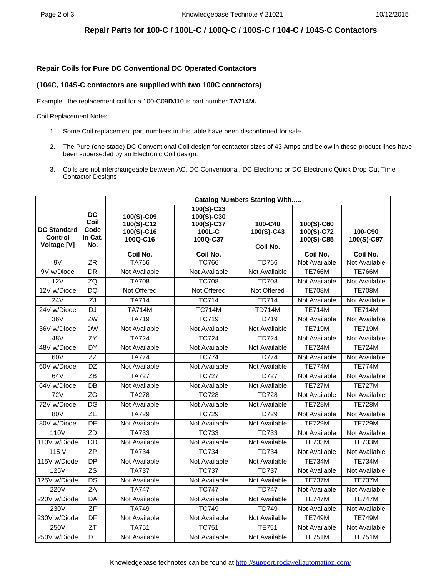## **Repair Parts for 100-C / 100L-C / 100Q-C / 100S-C / 104-C / 104S-C Contactors**

### **Repair Coils for Pure DC Conventional DC Operated Contactors**

### **(104C, 104S-C contactors are supplied with two 100C contactors)**

Example: the replacement coil for a 100-C09**DJ**10 is part number **TA714M.**

#### Coil Replacement Notes:

- 1. Some Coil replacement part numbers in this table have been discontinued for sale.
- 2. The Pure (one stage) DC Conventional Coil design for contactor sizes of 43 Amps and below in these product lines have been superseded by an Electronic Coil design.
- 3. Coils are not interchangeable between AC, DC Conventional, DC Electronic or DC Electronic Quick Drop Out Time Contactor Designs

|                                              |                                             | <b>Catalog Numbers Starting With</b>               |                                                              |                                   |                                        |                       |  |
|----------------------------------------------|---------------------------------------------|----------------------------------------------------|--------------------------------------------------------------|-----------------------------------|----------------------------------------|-----------------------|--|
| <b>DC Standard</b><br>Control<br>Voltage [V] | <b>DC</b><br>Coil<br>Code<br>In Cat.<br>No. | 100(S)-C09<br>100(S)-C12<br>100(S)-C16<br>100Q-C16 | 100(S)-C23<br>100(S)-C30<br>100(S)-C37<br>100L-C<br>100Q-C37 | 100-C40<br>100(S)-C43<br>Coil No. | 100(S)-C60<br>100(S)-C72<br>100(S)-C85 | 100-C90<br>100(S)-C97 |  |
|                                              |                                             | Coil No.                                           | Coil No.                                                     |                                   | Coil No.                               | Coil No.              |  |
| 9V                                           | ZR                                          | <b>TA766</b>                                       | <b>TC766</b>                                                 | <b>TD766</b>                      | Not Available                          | Not Available         |  |
| 9V w/Diode                                   | DR                                          | Not Available                                      | Not Available                                                | Not Available                     | <b>TE766M</b>                          | <b>TE766M</b>         |  |
| 12V                                          | ZQ                                          | <b>TA708</b>                                       | <b>TC708</b>                                                 | <b>TD708</b>                      | Not Available                          | Not Available         |  |
| 12V w/Diode                                  | DQ                                          | Not Offered                                        | Not Offered                                                  | Not Offered                       | <b>TE708M</b>                          | <b>TE708M</b>         |  |
| 24V                                          | ZJ                                          | <b>TA714</b>                                       | <b>TC714</b>                                                 | <b>TD714</b>                      | Not Available                          | Not Available         |  |
| 24V w/Diode                                  | <b>DJ</b>                                   | <b>TA714M</b>                                      | <b>TC714M</b>                                                | <b>TD714M</b>                     | <b>TE714M</b>                          | <b>TE714M</b>         |  |
| 36V                                          | ZW                                          | <b>TA719</b>                                       | <b>TC719</b>                                                 | <b>TD719</b>                      | Not Available                          | Not Available         |  |
| 36V w/Diode                                  | $\overline{DW}$                             | Not Available                                      | Not Available                                                | Not Available                     | <b>TE719M</b>                          | <b>TE719M</b>         |  |
| 48V                                          | $\overline{ZY}$                             | <b>TA724</b>                                       | <b>TC724</b>                                                 | <b>TD724</b>                      | Not Available                          | Not Available         |  |
| 48V w/Diode                                  | $\overline{DY}$                             | Not Available                                      | Not Available                                                | Not Available                     | <b>TE724M</b>                          | <b>TE724M</b>         |  |
| 60V                                          | $\overline{ZZ}$                             | <b>TA774</b>                                       | <b>TC774</b>                                                 | <b>TD774</b>                      | Not Available                          | Not Available         |  |
| 60V w/Diode                                  | DZ                                          | Not Available                                      | Not Available                                                | Not Available                     | <b>TE774M</b>                          | <b>TE774M</b>         |  |
| 64V                                          | $\overline{Z}$ B                            | <b>TA727</b>                                       | <b>TC727</b>                                                 | <b>TD727</b>                      | Not Available                          | Not Available         |  |
| 64V w/Diode                                  | $\overline{DB}$                             | Not Available                                      | Not Available                                                | Not Available                     | <b>TE727M</b>                          | <b>TE727M</b>         |  |
| $\overline{72V}$                             | ZG                                          | <b>TA278</b>                                       | <b>TC728</b>                                                 | <b>TD728</b>                      | Not Available                          | Not Available         |  |
| 72V w/Diode                                  | $\overline{DG}$                             | Not Available                                      | Not Available                                                | Not Available                     | <b>TE728M</b>                          | <b>TE728M</b>         |  |
| 80V                                          | $\overline{ZE}$                             | <b>TA729</b>                                       | <b>TC729</b>                                                 | <b>TD729</b>                      | Not Available                          | Not Available         |  |
| 80V w/Diode                                  | $\overline{DE}$                             | Not Available                                      | Not Available                                                | Not Available                     | <b>TE729M</b>                          | <b>TE729M</b>         |  |
| 110V                                         | $\overline{ZD}$                             | <b>TA733</b>                                       | <b>TC733</b>                                                 | <b>TD733</b>                      | Not Available                          | Not Available         |  |
| 110V w/Diode                                 | $\overline{DD}$                             | Not Available                                      | Not Available                                                | Not Available                     | <b>TE733M</b>                          | <b>TE733M</b>         |  |
| 115V                                         | ZP                                          | <b>TA734</b>                                       | <b>TC734</b>                                                 | <b>TD734</b>                      | Not Available                          | Not Available         |  |
| 115V w/Diode                                 | <b>DP</b>                                   | Not Available                                      | Not Available                                                | Not Available                     | <b>TE734M</b>                          | <b>TE734M</b>         |  |
| 125V                                         | $\overline{ZS}$                             | <b>TA737</b>                                       | <b>TC737</b>                                                 | <b>TD737</b>                      | Not Available                          | Not Available         |  |
| 125V w/Diode                                 | $\overline{DS}$                             | Not Available                                      | Not Available                                                | Not Available                     | <b>TE737M</b>                          | <b>TE737M</b>         |  |
| <b>220V</b>                                  | ZA                                          | <b>TA747</b>                                       | <b>TC747</b>                                                 | <b>TD747</b>                      | Not Available                          | Not Available         |  |
| 220V w/Diode                                 | $\overline{DA}$                             | Not Available                                      | Not Available                                                | Not Available                     | <b>TE747M</b>                          | <b>TE747M</b>         |  |
| 230V                                         | $\overline{\mathsf{ZF}}$                    | <b>TA749</b>                                       | <b>TC749</b>                                                 | <b>TD749</b>                      | Not Available                          | Not Available         |  |
| 230V w/Diode                                 | DF                                          | Not Available                                      | Not Available                                                | Not Available                     | <b>TE749M</b>                          | <b>TE749M</b>         |  |
| 250V                                         | $\overline{Z}$ T                            | <b>TA751</b>                                       | <b>TC751</b>                                                 | <b>TE751</b>                      | Not Available                          | Not Available         |  |
| 250V w/Diode                                 | $\overline{DT}$                             | Not Available                                      | Not Available                                                | Not Available                     | <b>TE751M</b>                          | <b>TE751M</b>         |  |